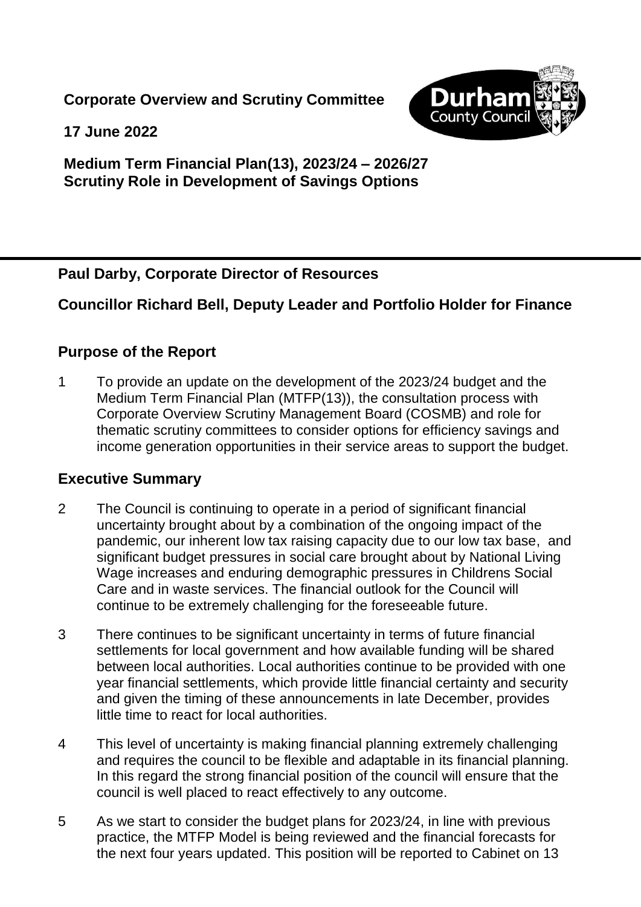**Corporate Overview and Scrutiny Committee**



**17 June 2022**

## **Medium Term Financial Plan(13), 2023/24 – 2026/27 Scrutiny Role in Development of Savings Options**

## **Paul Darby, Corporate Director of Resources**

# **Councillor Richard Bell, Deputy Leader and Portfolio Holder for Finance**

## **Purpose of the Report**

1 To provide an update on the development of the 2023/24 budget and the Medium Term Financial Plan (MTFP(13)), the consultation process with Corporate Overview Scrutiny Management Board (COSMB) and role for thematic scrutiny committees to consider options for efficiency savings and income generation opportunities in their service areas to support the budget.

#### **Executive Summary**

- 2 The Council is continuing to operate in a period of significant financial uncertainty brought about by a combination of the ongoing impact of the pandemic, our inherent low tax raising capacity due to our low tax base, and significant budget pressures in social care brought about by National Living Wage increases and enduring demographic pressures in Childrens Social Care and in waste services. The financial outlook for the Council will continue to be extremely challenging for the foreseeable future.
- 3 There continues to be significant uncertainty in terms of future financial settlements for local government and how available funding will be shared between local authorities. Local authorities continue to be provided with one year financial settlements, which provide little financial certainty and security and given the timing of these announcements in late December, provides little time to react for local authorities.
- 4 This level of uncertainty is making financial planning extremely challenging and requires the council to be flexible and adaptable in its financial planning. In this regard the strong financial position of the council will ensure that the council is well placed to react effectively to any outcome.
- 5 As we start to consider the budget plans for 2023/24, in line with previous practice, the MTFP Model is being reviewed and the financial forecasts for the next four years updated. This position will be reported to Cabinet on 13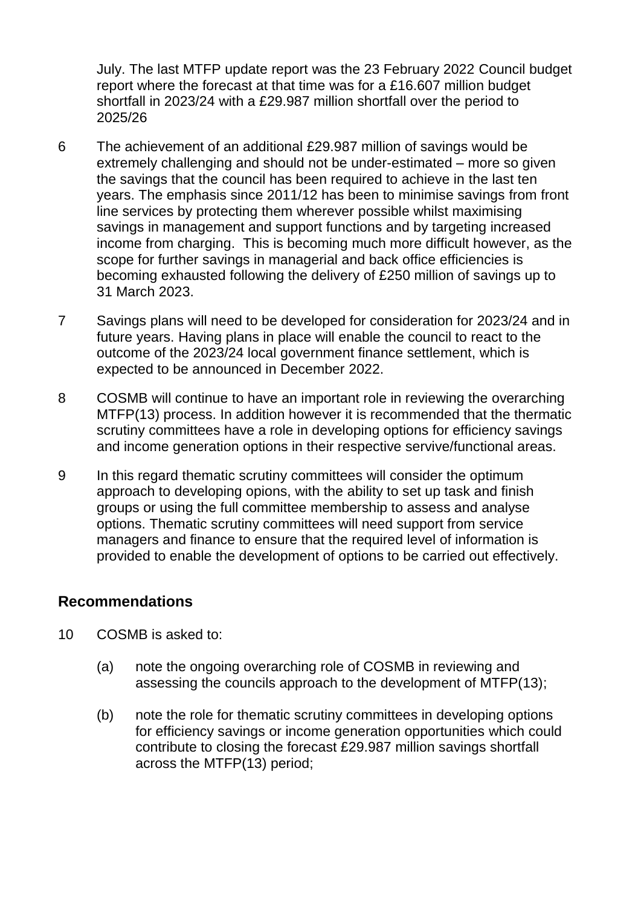July. The last MTFP update report was the 23 February 2022 Council budget report where the forecast at that time was for a £16.607 million budget shortfall in 2023/24 with a £29.987 million shortfall over the period to 2025/26

- 6 The achievement of an additional £29.987 million of savings would be extremely challenging and should not be under-estimated – more so given the savings that the council has been required to achieve in the last ten years. The emphasis since 2011/12 has been to minimise savings from front line services by protecting them wherever possible whilst maximising savings in management and support functions and by targeting increased income from charging. This is becoming much more difficult however, as the scope for further savings in managerial and back office efficiencies is becoming exhausted following the delivery of £250 million of savings up to 31 March 2023.
- 7 Savings plans will need to be developed for consideration for 2023/24 and in future years. Having plans in place will enable the council to react to the outcome of the 2023/24 local government finance settlement, which is expected to be announced in December 2022.
- 8 COSMB will continue to have an important role in reviewing the overarching MTFP(13) process. In addition however it is recommended that the thermatic scrutiny committees have a role in developing options for efficiency savings and income generation options in their respective servive/functional areas.
- 9 In this regard thematic scrutiny committees will consider the optimum approach to developing opions, with the ability to set up task and finish groups or using the full committee membership to assess and analyse options. Thematic scrutiny committees will need support from service managers and finance to ensure that the required level of information is provided to enable the development of options to be carried out effectively.

#### **Recommendations**

- 10 COSMB is asked to:
	- (a) note the ongoing overarching role of COSMB in reviewing and assessing the councils approach to the development of MTFP(13);
	- (b) note the role for thematic scrutiny committees in developing options for efficiency savings or income generation opportunities which could contribute to closing the forecast £29.987 million savings shortfall across the MTFP(13) period;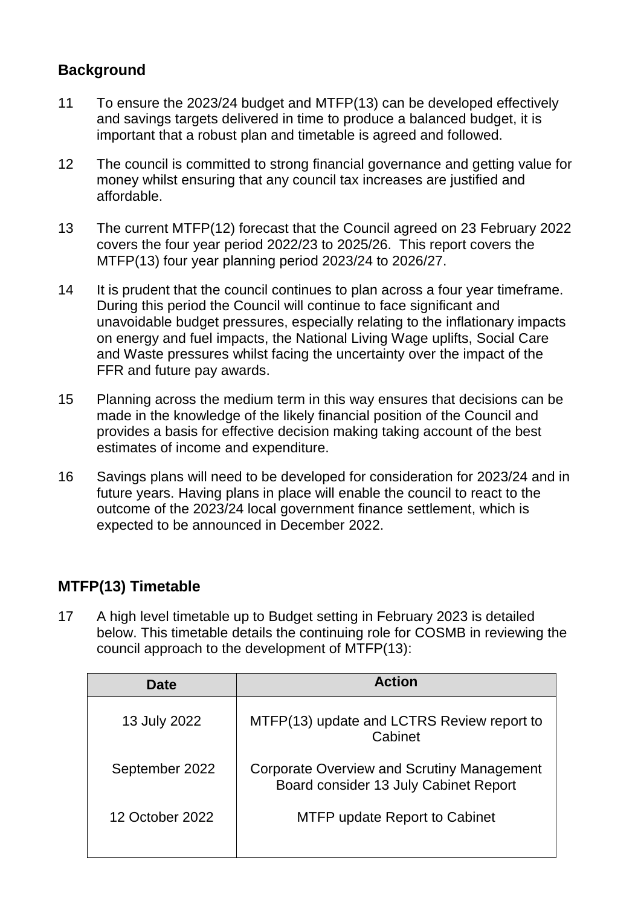# **Background**

- 11 To ensure the 2023/24 budget and MTFP(13) can be developed effectively and savings targets delivered in time to produce a balanced budget, it is important that a robust plan and timetable is agreed and followed.
- 12 The council is committed to strong financial governance and getting value for money whilst ensuring that any council tax increases are justified and affordable.
- 13 The current MTFP(12) forecast that the Council agreed on 23 February 2022 covers the four year period 2022/23 to 2025/26. This report covers the MTFP(13) four year planning period 2023/24 to 2026/27.
- 14 It is prudent that the council continues to plan across a four year timeframe. During this period the Council will continue to face significant and unavoidable budget pressures, especially relating to the inflationary impacts on energy and fuel impacts, the National Living Wage uplifts, Social Care and Waste pressures whilst facing the uncertainty over the impact of the FFR and future pay awards.
- 15 Planning across the medium term in this way ensures that decisions can be made in the knowledge of the likely financial position of the Council and provides a basis for effective decision making taking account of the best estimates of income and expenditure.
- 16 Savings plans will need to be developed for consideration for 2023/24 and in future years. Having plans in place will enable the council to react to the outcome of the 2023/24 local government finance settlement, which is expected to be announced in December 2022.

# **MTFP(13) Timetable**

17 A high level timetable up to Budget setting in February 2023 is detailed below. This timetable details the continuing role for COSMB in reviewing the council approach to the development of MTFP(13):

| <b>Date</b>     | <b>Action</b>                                                                       |
|-----------------|-------------------------------------------------------------------------------------|
| 13 July 2022    | MTFP(13) update and LCTRS Review report to<br>Cabinet                               |
| September 2022  | Corporate Overview and Scrutiny Management<br>Board consider 13 July Cabinet Report |
| 12 October 2022 | <b>MTFP update Report to Cabinet</b>                                                |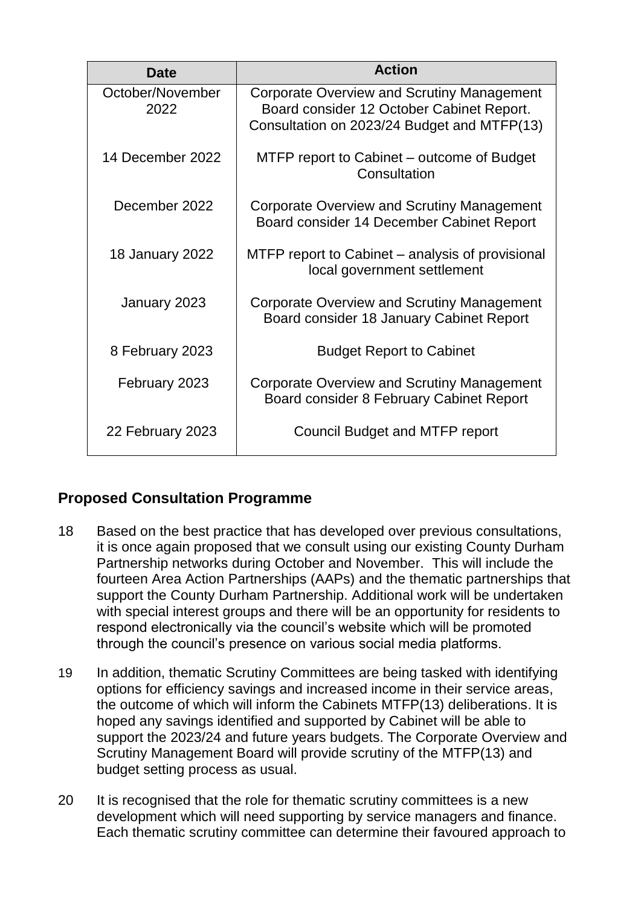| Date                     | <b>Action</b>                                                                                                                          |
|--------------------------|----------------------------------------------------------------------------------------------------------------------------------------|
| October/November<br>2022 | Corporate Overview and Scrutiny Management<br>Board consider 12 October Cabinet Report.<br>Consultation on 2023/24 Budget and MTFP(13) |
| 14 December 2022         | MTFP report to Cabinet – outcome of Budget<br>Consultation                                                                             |
| December 2022            | Corporate Overview and Scrutiny Management<br>Board consider 14 December Cabinet Report                                                |
| 18 January 2022          | MTFP report to Cabinet – analysis of provisional<br>local government settlement                                                        |
| January 2023             | Corporate Overview and Scrutiny Management<br>Board consider 18 January Cabinet Report                                                 |
| 8 February 2023          | <b>Budget Report to Cabinet</b>                                                                                                        |
| February 2023            | Corporate Overview and Scrutiny Management<br>Board consider 8 February Cabinet Report                                                 |
| 22 February 2023         | Council Budget and MTFP report                                                                                                         |

# **Proposed Consultation Programme**

- 18 Based on the best practice that has developed over previous consultations, it is once again proposed that we consult using our existing County Durham Partnership networks during October and November. This will include the fourteen Area Action Partnerships (AAPs) and the thematic partnerships that support the County Durham Partnership. Additional work will be undertaken with special interest groups and there will be an opportunity for residents to respond electronically via the council's website which will be promoted through the council's presence on various social media platforms.
- 19 In addition, thematic Scrutiny Committees are being tasked with identifying options for efficiency savings and increased income in their service areas, the outcome of which will inform the Cabinets MTFP(13) deliberations. It is hoped any savings identified and supported by Cabinet will be able to support the 2023/24 and future years budgets. The Corporate Overview and Scrutiny Management Board will provide scrutiny of the MTFP(13) and budget setting process as usual.
- 20 It is recognised that the role for thematic scrutiny committees is a new development which will need supporting by service managers and finance. Each thematic scrutiny committee can determine their favoured approach to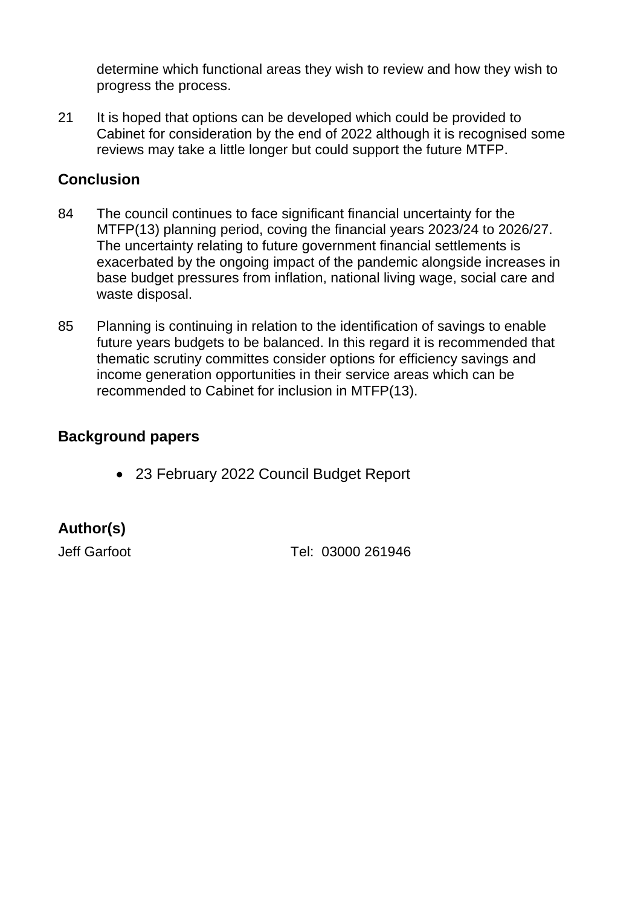determine which functional areas they wish to review and how they wish to progress the process.

21 It is hoped that options can be developed which could be provided to Cabinet for consideration by the end of 2022 although it is recognised some reviews may take a little longer but could support the future MTFP.

# **Conclusion**

- 84 The council continues to face significant financial uncertainty for the MTFP(13) planning period, coving the financial years 2023/24 to 2026/27. The uncertainty relating to future government financial settlements is exacerbated by the ongoing impact of the pandemic alongside increases in base budget pressures from inflation, national living wage, social care and waste disposal.
- 85 Planning is continuing in relation to the identification of savings to enable future years budgets to be balanced. In this regard it is recommended that thematic scrutiny committes consider options for efficiency savings and income generation opportunities in their service areas which can be recommended to Cabinet for inclusion in MTFP(13).

## **Background papers**

23 February 2022 Council Budget Report

# **Author(s)**

Jeff Garfoot Tel: 03000 261946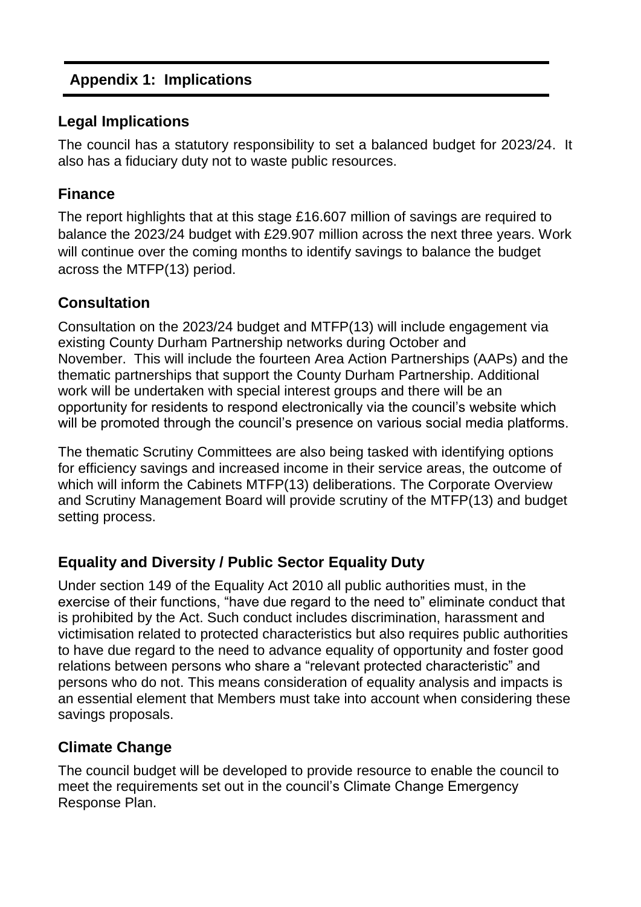# **Appendix 1: Implications**

#### **Legal Implications**

The council has a statutory responsibility to set a balanced budget for 2023/24. It also has a fiduciary duty not to waste public resources.

#### **Finance**

The report highlights that at this stage £16.607 million of savings are required to balance the 2023/24 budget with £29.907 million across the next three years. Work will continue over the coming months to identify savings to balance the budget across the MTFP(13) period.

#### **Consultation**

Consultation on the 2023/24 budget and MTFP(13) will include engagement via existing County Durham Partnership networks during October and November. This will include the fourteen Area Action Partnerships (AAPs) and the thematic partnerships that support the County Durham Partnership. Additional work will be undertaken with special interest groups and there will be an opportunity for residents to respond electronically via the council's website which will be promoted through the council's presence on various social media platforms.

The thematic Scrutiny Committees are also being tasked with identifying options for efficiency savings and increased income in their service areas, the outcome of which will inform the Cabinets MTFP(13) deliberations. The Corporate Overview and Scrutiny Management Board will provide scrutiny of the MTFP(13) and budget setting process.

# **Equality and Diversity / Public Sector Equality Duty**

Under section 149 of the Equality Act 2010 all public authorities must, in the exercise of their functions, "have due regard to the need to" eliminate conduct that is prohibited by the Act. Such conduct includes discrimination, harassment and victimisation related to protected characteristics but also requires public authorities to have due regard to the need to advance equality of opportunity and foster good relations between persons who share a "relevant protected characteristic" and persons who do not. This means consideration of equality analysis and impacts is an essential element that Members must take into account when considering these savings proposals.

# **Climate Change**

The council budget will be developed to provide resource to enable the council to meet the requirements set out in the council's Climate Change Emergency Response Plan.